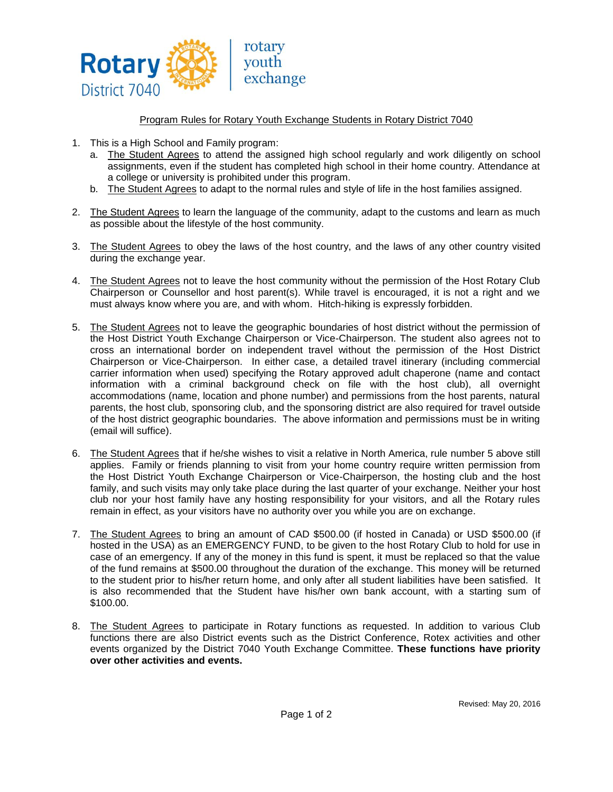

## Program Rules for Rotary Youth Exchange Students in Rotary District 7040

- 1. This is a High School and Family program:
	- a. The Student Agrees to attend the assigned high school regularly and work diligently on school assignments, even if the student has completed high school in their home country. Attendance at a college or university is prohibited under this program.
	- b. The Student Agrees to adapt to the normal rules and style of life in the host families assigned.
- 2. The Student Agrees to learn the language of the community, adapt to the customs and learn as much as possible about the lifestyle of the host community.
- 3. The Student Agrees to obey the laws of the host country, and the laws of any other country visited during the exchange year.
- 4. The Student Agrees not to leave the host community without the permission of the Host Rotary Club Chairperson or Counsellor and host parent(s). While travel is encouraged, it is not a right and we must always know where you are, and with whom. Hitch-hiking is expressly forbidden.
- 5. The Student Agrees not to leave the geographic boundaries of host district without the permission of the Host District Youth Exchange Chairperson or Vice-Chairperson. The student also agrees not to cross an international border on independent travel without the permission of the Host District Chairperson or Vice-Chairperson. In either case, a detailed travel itinerary (including commercial carrier information when used) specifying the Rotary approved adult chaperone (name and contact information with a criminal background check on file with the host club), all overnight accommodations (name, location and phone number) and permissions from the host parents, natural parents, the host club, sponsoring club, and the sponsoring district are also required for travel outside of the host district geographic boundaries. The above information and permissions must be in writing (email will suffice).
- 6. The Student Agrees that if he/she wishes to visit a relative in North America, rule number 5 above still applies. Family or friends planning to visit from your home country require written permission from the Host District Youth Exchange Chairperson or Vice-Chairperson, the hosting club and the host family, and such visits may only take place during the last quarter of your exchange. Neither your host club nor your host family have any hosting responsibility for your visitors, and all the Rotary rules remain in effect, as your visitors have no authority over you while you are on exchange.
- 7. The Student Agrees to bring an amount of CAD \$500.00 (if hosted in Canada) or USD \$500.00 (if hosted in the USA) as an EMERGENCY FUND, to be given to the host Rotary Club to hold for use in case of an emergency. If any of the money in this fund is spent, it must be replaced so that the value of the fund remains at \$500.00 throughout the duration of the exchange. This money will be returned to the student prior to his/her return home, and only after all student liabilities have been satisfied. It is also recommended that the Student have his/her own bank account, with a starting sum of \$100.00.
- 8. The Student Agrees to participate in Rotary functions as requested. In addition to various Club functions there are also District events such as the District Conference, Rotex activities and other events organized by the District 7040 Youth Exchange Committee. **These functions have priority over other activities and events.**